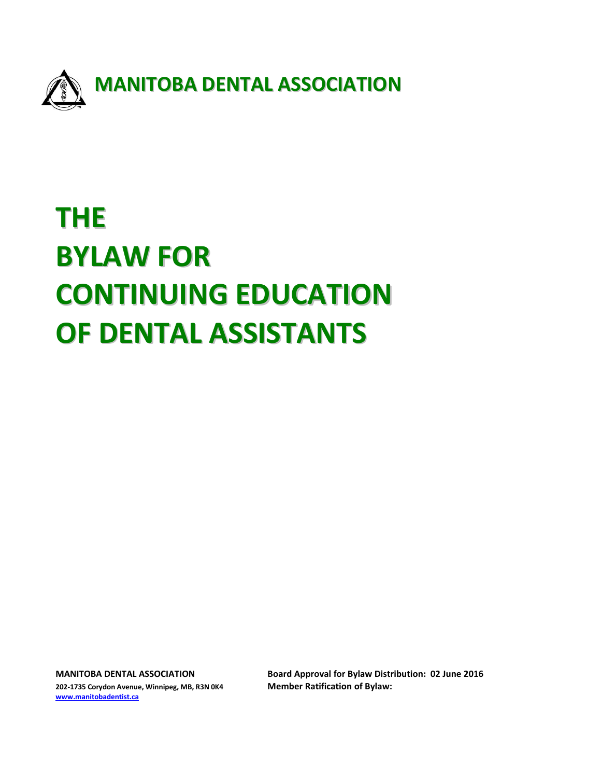

# **THE BYLAW FOR CONTINUING EDUCATION OF DENTAL ASSISTANTS**

**202-1735 Corydon Avenue, Winnipeg, MB, R3N 0K4 Member Ratification of Bylaw: [www.manitobadentist.ca](http://www.manitobadentist.ca/)**

**MANITOBA DENTAL ASSOCIATION Board Approval for Bylaw Distribution: 02 June 2016**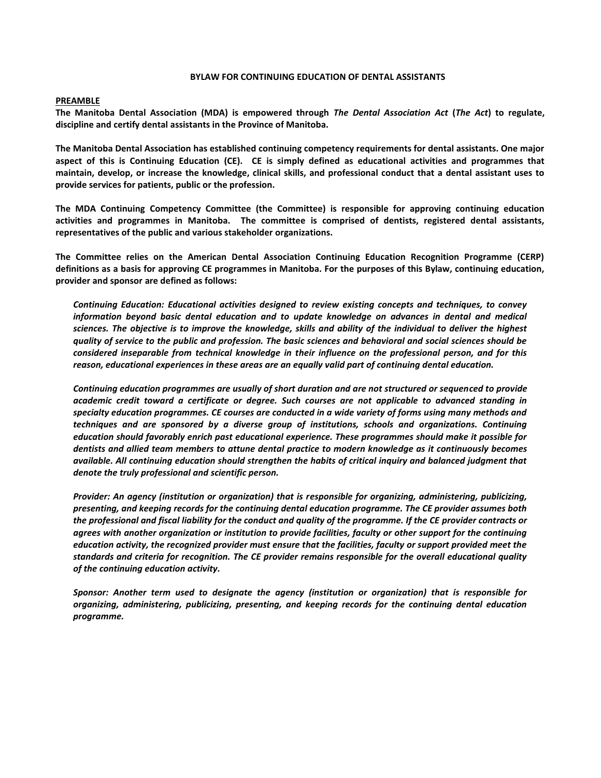#### **BYLAW FOR CONTINUING EDUCATION OF DENTAL ASSISTANTS**

#### **PREAMBLE**

**The Manitoba Dental Association (MDA) is empowered through** *The Dental Association Act* **(***The Act***) to regulate, discipline and certify dental assistants in the Province of Manitoba.**

**The Manitoba Dental Association has established continuing competency requirements for dental assistants. One major aspect of this is Continuing Education (CE). CE is simply defined as educational activities and programmes that maintain, develop, or increase the knowledge, clinical skills, and professional conduct that a dental assistant uses to provide services for patients, public or the profession.**

**The MDA Continuing Competency Committee (the Committee) is responsible for approving continuing education activities and programmes in Manitoba. The committee is comprised of dentists, registered dental assistants, representatives of the public and various stakeholder organizations.**

**The Committee relies on the American Dental Association Continuing Education Recognition Programme (CERP) definitions as a basis for approving CE programmes in Manitoba. For the purposes of this Bylaw, continuing education, provider and sponsor are defined as follows:** 

*Continuing Education: Educational activities designed to review existing concepts and techniques, to convey information beyond basic dental education and to update knowledge on advances in dental and medical sciences. The objective is to improve the knowledge, skills and ability of the individual to deliver the highest quality of service to the public and profession. The basic sciences and behavioral and social sciences should be considered inseparable from technical knowledge in their influence on the professional person, and for this reason, educational experiences in these areas are an equally valid part of continuing dental education.*

*Continuing education programmes are usually of short duration and are not structured or sequenced to provide academic credit toward a certificate or degree. Such courses are not applicable to advanced standing in specialty education programmes. CE courses are conducted in a wide variety of forms using many methods and techniques and are sponsored by a diverse group of institutions, schools and organizations. Continuing education should favorably enrich past educational experience. These programmes should make it possible for dentists and allied team members to attune dental practice to modern knowledge as it continuously becomes available. All continuing education should strengthen the habits of critical inquiry and balanced judgment that denote the truly professional and scientific person.*

*Provider: An agency (institution or organization) that is responsible for organizing, administering, publicizing, presenting, and keeping records for the continuing dental education programme. The CE provider assumes both the professional and fiscal liability for the conduct and quality of the programme. If the CE provider contracts or agrees with another organization or institution to provide facilities, faculty or other support for the continuing education activity, the recognized provider must ensure that the facilities, faculty or support provided meet the standards and criteria for recognition. The CE provider remains responsible for the overall educational quality of the continuing education activity.* 

*Sponsor: Another term used to designate the agency (institution or organization) that is responsible for organizing, administering, publicizing, presenting, and keeping records for the continuing dental education programme.*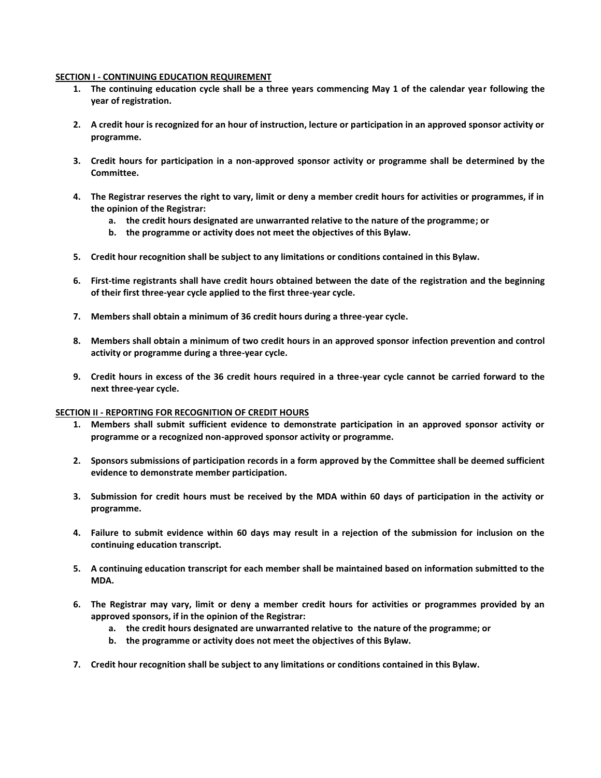#### **SECTION I - CONTINUING EDUCATION REQUIREMENT**

- **1. The continuing education cycle shall be a three years commencing May 1 of the calendar year following the year of registration.**
- **2. A credit hour is recognized for an hour of instruction, lecture or participation in an approved sponsor activity or programme.**
- **3. Credit hours for participation in a non-approved sponsor activity or programme shall be determined by the Committee.**
- **4. The Registrar reserves the right to vary, limit or deny a member credit hours for activities or programmes, if in the opinion of the Registrar:**
	- **a. the credit hours designated are unwarranted relative to the nature of the programme; or**
	- **b. the programme or activity does not meet the objectives of this Bylaw.**
- **5. Credit hour recognition shall be subject to any limitations or conditions contained in this Bylaw.**
- **6. First-time registrants shall have credit hours obtained between the date of the registration and the beginning of their first three-year cycle applied to the first three-year cycle.**
- **7. Members shall obtain a minimum of 36 credit hours during a three-year cycle.**
- **8. Members shall obtain a minimum of two credit hours in an approved sponsor infection prevention and control activity or programme during a three-year cycle.**
- **9. Credit hours in excess of the 36 credit hours required in a three-year cycle cannot be carried forward to the next three-year cycle.**

#### **SECTION II - REPORTING FOR RECOGNITION OF CREDIT HOURS**

- **1. Members shall submit sufficient evidence to demonstrate participation in an approved sponsor activity or programme or a recognized non-approved sponsor activity or programme.**
- **2. Sponsors submissions of participation records in a form approved by the Committee shall be deemed sufficient evidence to demonstrate member participation.**
- **3. Submission for credit hours must be received by the MDA within 60 days of participation in the activity or programme.**
- **4. Failure to submit evidence within 60 days may result in a rejection of the submission for inclusion on the continuing education transcript.**
- **5. A continuing education transcript for each member shall be maintained based on information submitted to the MDA.**
- **6. The Registrar may vary, limit or deny a member credit hours for activities or programmes provided by an approved sponsors, if in the opinion of the Registrar:**
	- **a. the credit hours designated are unwarranted relative to the nature of the programme; or**
	- **b. the programme or activity does not meet the objectives of this Bylaw.**
- **7. Credit hour recognition shall be subject to any limitations or conditions contained in this Bylaw.**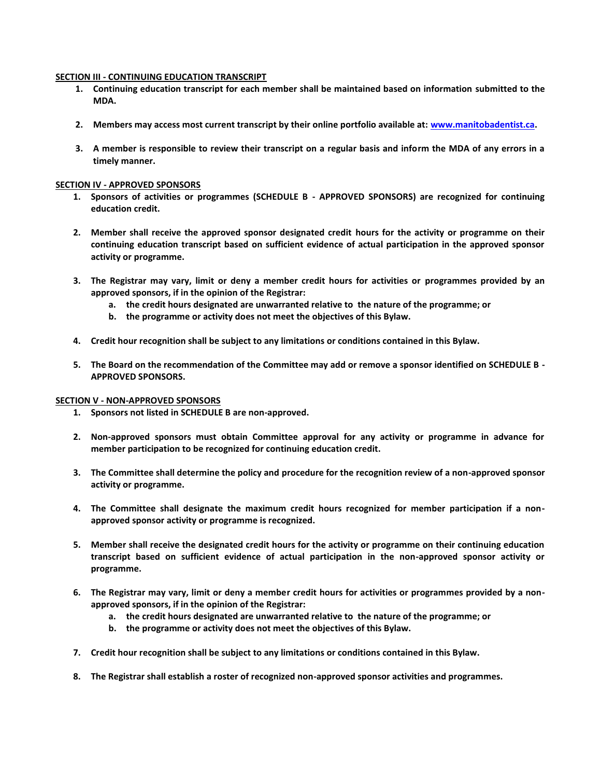#### **SECTION III - CONTINUING EDUCATION TRANSCRIPT**

- **1. Continuing education transcript for each member shall be maintained based on information submitted to the MDA.**
- **2. Members may access most current transcript by their online portfolio available at: [www.manitobadentist.ca.](http://www.manitobadentist.ca/)**
- **3. A member is responsible to review their transcript on a regular basis and inform the MDA of any errors in a timely manner.**

#### **SECTION IV - APPROVED SPONSORS**

- **1. Sponsors of activities or programmes (SCHEDULE B - APPROVED SPONSORS) are recognized for continuing education credit.**
- **2. Member shall receive the approved sponsor designated credit hours for the activity or programme on their continuing education transcript based on sufficient evidence of actual participation in the approved sponsor activity or programme.**
- **3. The Registrar may vary, limit or deny a member credit hours for activities or programmes provided by an approved sponsors, if in the opinion of the Registrar:**
	- **a. the credit hours designated are unwarranted relative to the nature of the programme; or**
	- **b. the programme or activity does not meet the objectives of this Bylaw.**
- **4. Credit hour recognition shall be subject to any limitations or conditions contained in this Bylaw.**
- **5. The Board on the recommendation of the Committee may add or remove a sponsor identified on SCHEDULE B - APPROVED SPONSORS.**

#### **SECTION V - NON-APPROVED SPONSORS**

- **1. Sponsors not listed in SCHEDULE B are non-approved.**
- **2. Non-approved sponsors must obtain Committee approval for any activity or programme in advance for member participation to be recognized for continuing education credit.**
- **3. The Committee shall determine the policy and procedure for the recognition review of a non-approved sponsor activity or programme.**
- **4. The Committee shall designate the maximum credit hours recognized for member participation if a nonapproved sponsor activity or programme is recognized.**
- **5. Member shall receive the designated credit hours for the activity or programme on their continuing education transcript based on sufficient evidence of actual participation in the non-approved sponsor activity or programme.**
- **6. The Registrar may vary, limit or deny a member credit hours for activities or programmes provided by a nonapproved sponsors, if in the opinion of the Registrar:**
	- **a. the credit hours designated are unwarranted relative to the nature of the programme; or**
	- **b. the programme or activity does not meet the objectives of this Bylaw.**
- **7. Credit hour recognition shall be subject to any limitations or conditions contained in this Bylaw.**
- **8. The Registrar shall establish a roster of recognized non-approved sponsor activities and programmes.**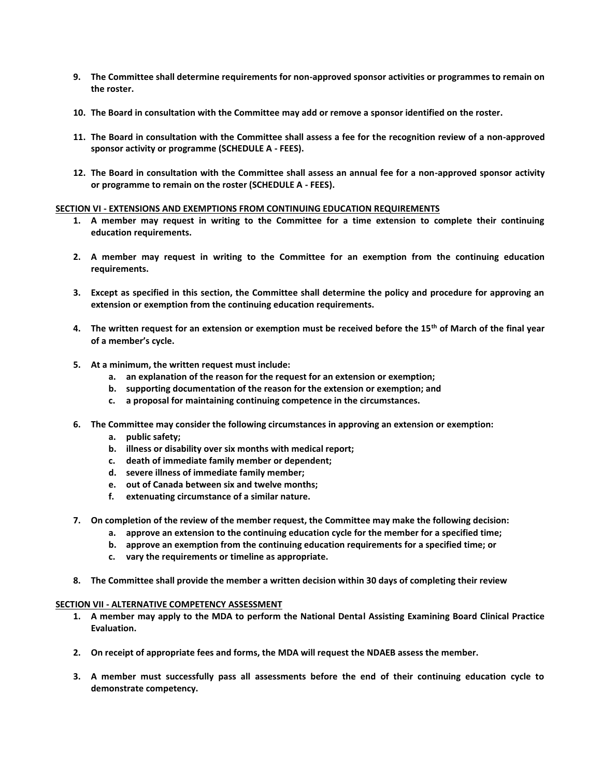- **9. The Committee shall determine requirements for non-approved sponsor activities or programmes to remain on the roster.**
- **10. The Board in consultation with the Committee may add or remove a sponsor identified on the roster.**
- **11. The Board in consultation with the Committee shall assess a fee for the recognition review of a non-approved sponsor activity or programme (SCHEDULE A - FEES).**
- **12. The Board in consultation with the Committee shall assess an annual fee for a non-approved sponsor activity or programme to remain on the roster (SCHEDULE A - FEES).**

#### **SECTION VI - EXTENSIONS AND EXEMPTIONS FROM CONTINUING EDUCATION REQUIREMENTS**

- **1. A member may request in writing to the Committee for a time extension to complete their continuing education requirements.**
- **2. A member may request in writing to the Committee for an exemption from the continuing education requirements.**
- **3. Except as specified in this section, the Committee shall determine the policy and procedure for approving an extension or exemption from the continuing education requirements.**
- **4. The written request for an extension or exemption must be received before the 15th of March of the final year of a member's cycle.**
- **5. At a minimum, the written request must include:**
	- **a. an explanation of the reason for the request for an extension or exemption;**
	- **b. supporting documentation of the reason for the extension or exemption; and**
	- **c. a proposal for maintaining continuing competence in the circumstances.**
- **6. The Committee may consider the following circumstances in approving an extension or exemption:**
	- **a. public safety;**
	- **b. illness or disability over six months with medical report;**
	- **c. death of immediate family member or dependent;**
	- **d. severe illness of immediate family member;**
	- **e. out of Canada between six and twelve months;**
	- **f. extenuating circumstance of a similar nature.**
- **7. On completion of the review of the member request, the Committee may make the following decision:**
	- **a. approve an extension to the continuing education cycle for the member for a specified time;**
	- **b. approve an exemption from the continuing education requirements for a specified time; or**
	- **c. vary the requirements or timeline as appropriate.**
- **8. The Committee shall provide the member a written decision within 30 days of completing their review**

#### **SECTION VII - ALTERNATIVE COMPETENCY ASSESSMENT**

- **1. A member may apply to the MDA to perform the National Dental Assisting Examining Board Clinical Practice Evaluation.**
- **2. On receipt of appropriate fees and forms, the MDA will request the NDAEB assess the member.**
- **3. A member must successfully pass all assessments before the end of their continuing education cycle to demonstrate competency.**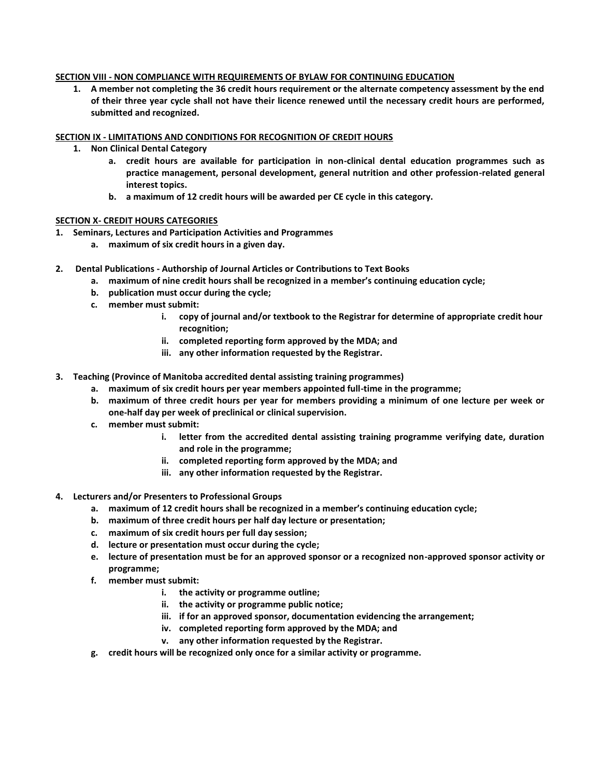#### **SECTION VIII - NON COMPLIANCE WITH REQUIREMENTS OF BYLAW FOR CONTINUING EDUCATION**

**1. A member not completing the 36 credit hours requirement or the alternate competency assessment by the end of their three year cycle shall not have their licence renewed until the necessary credit hours are performed, submitted and recognized.** 

#### **SECTION IX - LIMITATIONS AND CONDITIONS FOR RECOGNITION OF CREDIT HOURS**

- **1. Non Clinical Dental Category**
	- **a. credit hours are available for participation in non-clinical dental education programmes such as practice management, personal development, general nutrition and other profession-related general interest topics.**
	- **b. a maximum of 12 credit hours will be awarded per CE cycle in this category.**

#### **SECTION X- CREDIT HOURS CATEGORIES**

- **1. Seminars, Lectures and Participation Activities and Programmes**
	- **a. maximum of six credit hours in a given day.**
- **2. Dental Publications - Authorship of Journal Articles or Contributions to Text Books**
	- **a. maximum of nine credit hours shall be recognized in a member's continuing education cycle;**
	- **b. publication must occur during the cycle;**
	- **c. member must submit:** 
		- **i. copy of journal and/or textbook to the Registrar for determine of appropriate credit hour recognition;**
		- **ii. completed reporting form approved by the MDA; and**
		- **iii. any other information requested by the Registrar.**
- **3. Teaching (Province of Manitoba accredited dental assisting training programmes)**
	- **a. maximum of six credit hours per year members appointed full-time in the programme;**
	- **b. maximum of three credit hours per year for members providing a minimum of one lecture per week or one-half day per week of preclinical or clinical supervision.**
	- **c. member must submit:**
		- **i. letter from the accredited dental assisting training programme verifying date, duration and role in the programme;**
		- **ii. completed reporting form approved by the MDA; and**
		- **iii. any other information requested by the Registrar.**
- **4. Lecturers and/or Presenters to Professional Groups**
	- **a. maximum of 12 credit hours shall be recognized in a member's continuing education cycle;**
	- **b. maximum of three credit hours per half day lecture or presentation;**
	- **c. maximum of six credit hours per full day session;**
	- **d. lecture or presentation must occur during the cycle;**
	- **e. lecture of presentation must be for an approved sponsor or a recognized non-approved sponsor activity or programme;**
	- **f. member must submit:**
		- **i. the activity or programme outline;**
		- **ii. the activity or programme public notice;**
		- **iii. if for an approved sponsor, documentation evidencing the arrangement;**
		- **iv. completed reporting form approved by the MDA; and**
		- **v. any other information requested by the Registrar.**
	- **g. credit hours will be recognized only once for a similar activity or programme.**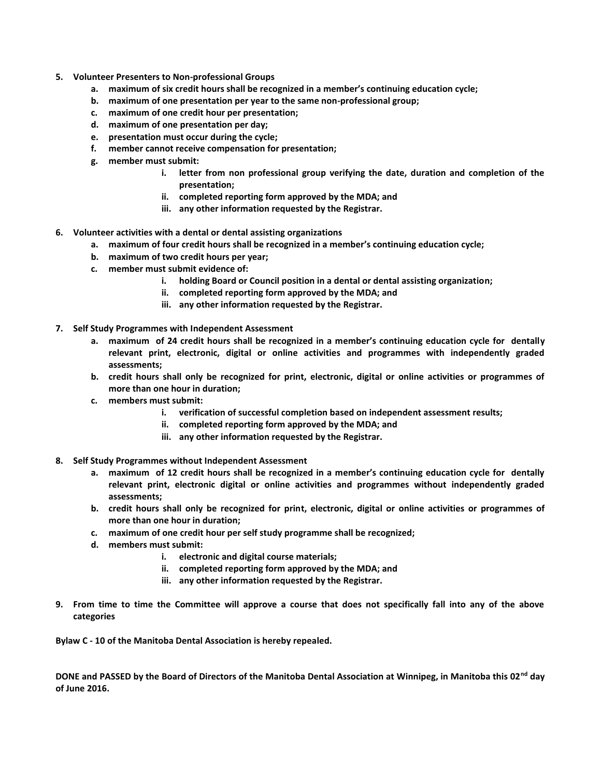- **5. Volunteer Presenters to Non-professional Groups**
	- **a. maximum of six credit hours shall be recognized in a member's continuing education cycle;**
	- **b. maximum of one presentation per year to the same non-professional group;**
	- **c. maximum of one credit hour per presentation;**
	- **d. maximum of one presentation per day;**
	- **e. presentation must occur during the cycle;**
	- **f. member cannot receive compensation for presentation;**
	- **g. member must submit:**
		- **i. letter from non professional group verifying the date, duration and completion of the presentation;**
		- **ii. completed reporting form approved by the MDA; and**
		- **iii. any other information requested by the Registrar.**
- **6. Volunteer activities with a dental or dental assisting organizations**
	- **a. maximum of four credit hours shall be recognized in a member's continuing education cycle;**
	- **b. maximum of two credit hours per year;**
	- **c. member must submit evidence of:**
		- **i. holding Board or Council position in a dental or dental assisting organization;**
		- **ii. completed reporting form approved by the MDA; and**
		- **iii. any other information requested by the Registrar.**
- **7. Self Study Programmes with Independent Assessment**
	- **a. maximum of 24 credit hours shall be recognized in a member's continuing education cycle for dentally relevant print, electronic, digital or online activities and programmes with independently graded assessments;**
	- **b. credit hours shall only be recognized for print, electronic, digital or online activities or programmes of more than one hour in duration;**
	- **c. members must submit:**
		- **i. verification of successful completion based on independent assessment results;**
		- **ii. completed reporting form approved by the MDA; and**
		- **iii. any other information requested by the Registrar.**
- **8. Self Study Programmes without Independent Assessment**
	- **a. maximum of 12 credit hours shall be recognized in a member's continuing education cycle for dentally relevant print, electronic digital or online activities and programmes without independently graded assessments;**
	- **b. credit hours shall only be recognized for print, electronic, digital or online activities or programmes of more than one hour in duration;**
	- **c. maximum of one credit hour per self study programme shall be recognized;**
	- **d. members must submit:**
		- **i. electronic and digital course materials;**
		- **ii. completed reporting form approved by the MDA; and**
		- **iii. any other information requested by the Registrar.**
- **9. From time to time the Committee will approve a course that does not specifically fall into any of the above categories**

**Bylaw C - 10 of the Manitoba Dental Association is hereby repealed.**

**DONE and PASSED by the Board of Directors of the Manitoba Dental Association at Winnipeg, in Manitoba this 02nd day of June 2016.**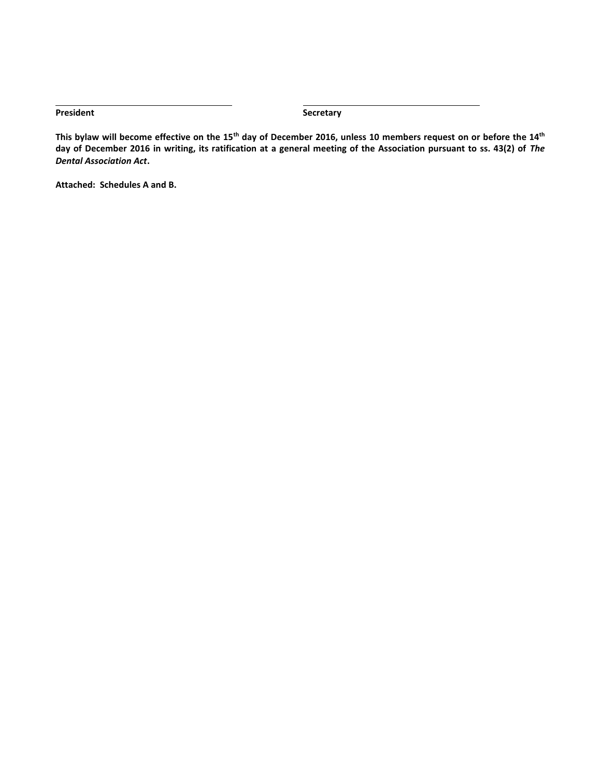**President Secretary** 

**This bylaw will become effective on the 15th day of December 2016, unless 10 members request on or before the 14th day of December 2016 in writing, its ratification at a general meeting of the Association pursuant to ss. 43(2) of** *The Dental Association Act***.**

**Attached: Schedules A and B.**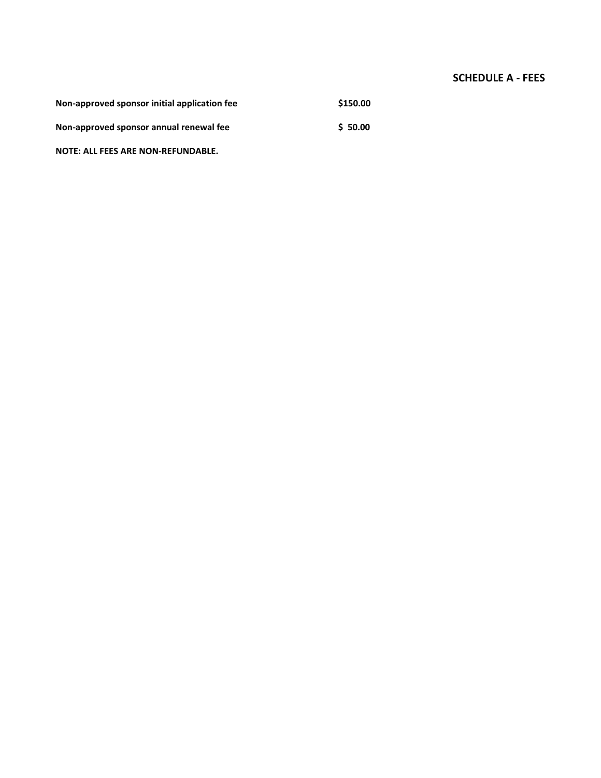## **SCHEDULE A - FEES**

| Non-approved sponsor initial application fee | \$150.00 |
|----------------------------------------------|----------|
| Non-approved sponsor annual renewal fee      | \$50.00  |

**NOTE: ALL FEES ARE NON-REFUNDABLE.**